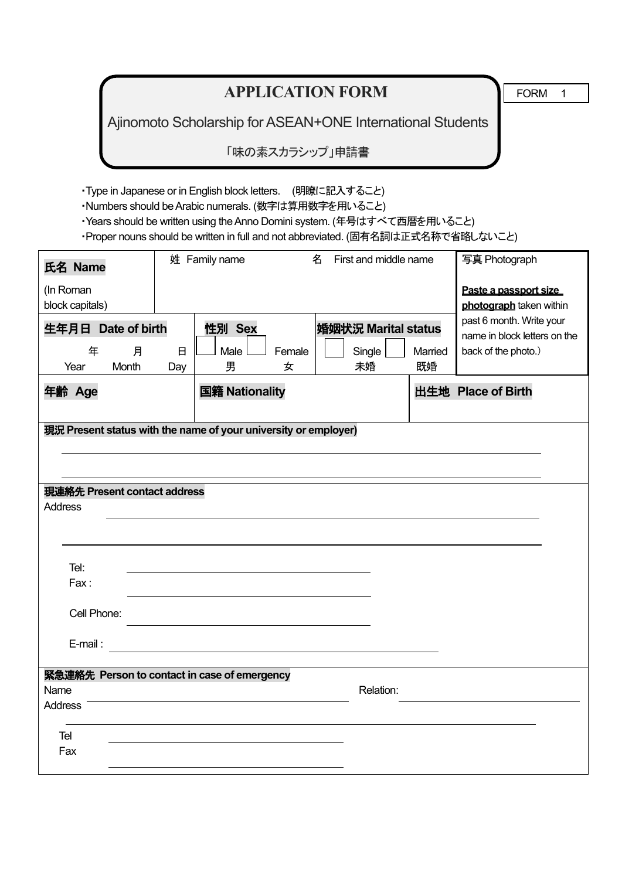# **APPLICATION FORM TEORM** 1

Ajinomoto Scholarship for ASEAN+ONE International Students

「味の素スカラシップ」申請書

・Type in Japanese or in English block letters. (明瞭に記入すること)

・Numbers should be Arabic numerals. (数字は算用数字を用いること)

・Years should be written using the Anno Domini system. (年号はすべて西暦を用いること)

・Proper nouns should be written in full and not abbreviated. (固有名詞は正式名称で省略しないこと)

| 氏名 Name                           |                              |              | 姓 Family name                                                   |        | 名 | First and middle name         |         | 写真 Photograph                                                                                                                       |
|-----------------------------------|------------------------------|--------------|-----------------------------------------------------------------|--------|---|-------------------------------|---------|-------------------------------------------------------------------------------------------------------------------------------------|
| (In Roman<br>block capitals)<br>年 | 生年月日 Date of birth<br>月      | $\mathbf{H}$ | 性別 Sex<br>Male                                                  | Female |   | 婚姻状況 Marital status<br>Single | Married | Paste a passport size<br>photograph taken within<br>past 6 month. Write your<br>name in block letters on the<br>back of the photo.) |
| Year                              | Month                        | Day          | 男                                                               | 女      |   | 未婚                            | 既婚      |                                                                                                                                     |
| 年齢 Age                            |                              |              | 国籍 Nationality                                                  |        |   |                               |         | 出生地 Place of Birth                                                                                                                  |
|                                   |                              |              | 現況 Present status with the name of your university or employer) |        |   |                               |         |                                                                                                                                     |
|                                   | 現連絡先 Present contact address |              |                                                                 |        |   |                               |         |                                                                                                                                     |
| Address                           |                              |              |                                                                 |        |   |                               |         |                                                                                                                                     |
|                                   |                              |              |                                                                 |        |   |                               |         |                                                                                                                                     |
|                                   |                              |              |                                                                 |        |   |                               |         |                                                                                                                                     |
| Tel:                              |                              |              |                                                                 |        |   |                               |         |                                                                                                                                     |
| Fax:                              |                              |              |                                                                 |        |   |                               |         |                                                                                                                                     |
| Cell Phone:                       |                              |              |                                                                 |        |   |                               |         |                                                                                                                                     |
| E-mail:                           |                              |              |                                                                 |        |   |                               |         |                                                                                                                                     |
|                                   |                              |              | 緊急連絡先 Person to contact in case of emergency                    |        |   |                               |         |                                                                                                                                     |
| Name                              |                              |              |                                                                 |        |   | Relation:                     |         |                                                                                                                                     |
| <b>Address</b>                    |                              |              |                                                                 |        |   |                               |         |                                                                                                                                     |
| Tel                               |                              |              |                                                                 |        |   |                               |         |                                                                                                                                     |
| Fax                               |                              |              |                                                                 |        |   |                               |         |                                                                                                                                     |
|                                   |                              |              |                                                                 |        |   |                               |         |                                                                                                                                     |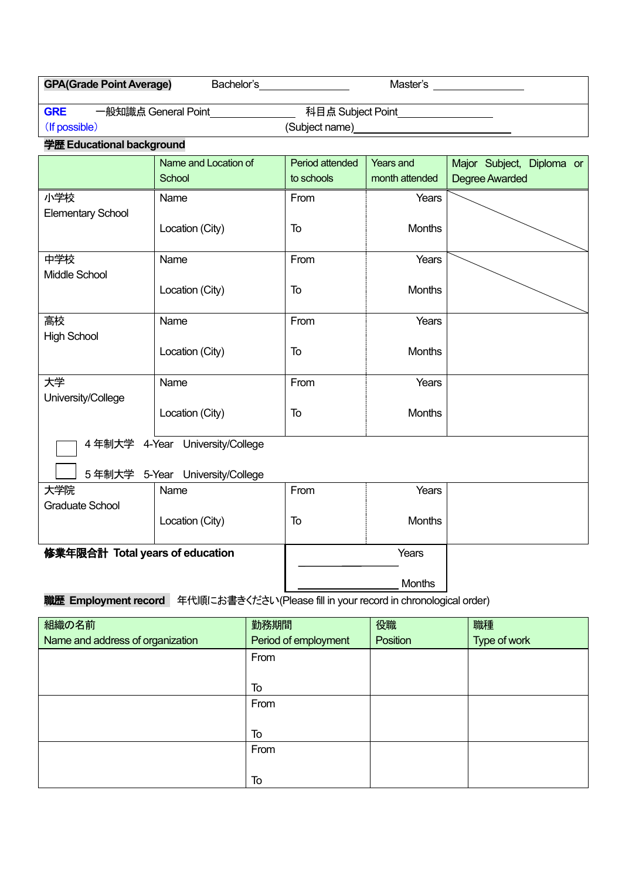| <b>GPA(Grade Point Average)</b><br>Bachelor's__________________<br>Master's _________________ |                                 |                 |                |                           |  |  |  |
|-----------------------------------------------------------------------------------------------|---------------------------------|-----------------|----------------|---------------------------|--|--|--|
| <b>GRE</b><br>一般知識点 General Point________________<br>科目点 Subject Point__________________      |                                 |                 |                |                           |  |  |  |
| (If possible)                                                                                 |                                 |                 |                |                           |  |  |  |
| 学歴 Educational background                                                                     |                                 |                 |                |                           |  |  |  |
|                                                                                               | Name and Location of            | Period attended | Years and      | Major Subject, Diploma or |  |  |  |
|                                                                                               | School                          | to schools      | month attended | <b>Degree Awarded</b>     |  |  |  |
| 小学校                                                                                           | Name                            | From            | Years          |                           |  |  |  |
| <b>Elementary School</b>                                                                      |                                 |                 |                |                           |  |  |  |
|                                                                                               | Location (City)                 | To              | <b>Months</b>  |                           |  |  |  |
| 中学校                                                                                           | Name                            | From            | Years          |                           |  |  |  |
| Middle School                                                                                 |                                 |                 |                |                           |  |  |  |
|                                                                                               | Location (City)                 | To              | <b>Months</b>  |                           |  |  |  |
|                                                                                               |                                 |                 |                |                           |  |  |  |
| 高校                                                                                            | Name                            | From            | Years          |                           |  |  |  |
| <b>High School</b>                                                                            | Location (City)                 | To              | <b>Months</b>  |                           |  |  |  |
|                                                                                               |                                 |                 |                |                           |  |  |  |
| 大学                                                                                            | Name                            | From            | Years          |                           |  |  |  |
| University/College                                                                            |                                 |                 |                |                           |  |  |  |
|                                                                                               | Location (City)                 | To              | <b>Months</b>  |                           |  |  |  |
| 4年制大学 4-Year University/College                                                               |                                 |                 |                |                           |  |  |  |
|                                                                                               | 5年制大学 5-Year University/College |                 |                |                           |  |  |  |
| 大学院                                                                                           | Name                            | From            | Years          |                           |  |  |  |
| <b>Graduate School</b>                                                                        |                                 |                 |                |                           |  |  |  |
|                                                                                               | Location (City)                 | To              | <b>Months</b>  |                           |  |  |  |
| 修業年限合計 Total years of education                                                               |                                 |                 | Years          |                           |  |  |  |
|                                                                                               |                                 |                 |                |                           |  |  |  |
|                                                                                               |                                 |                 | <b>Months</b>  |                           |  |  |  |

## **職歴 Employment record** 年代順にお書きください(Please fill in your record in chronological order)

| 組織の名前                            | 勤務期間                 | 役職       | 職種           |
|----------------------------------|----------------------|----------|--------------|
| Name and address of organization | Period of employment | Position | Type of work |
|                                  | From                 |          |              |
|                                  |                      |          |              |
|                                  | To                   |          |              |
|                                  | From                 |          |              |
|                                  |                      |          |              |
|                                  | To                   |          |              |
|                                  | From                 |          |              |
|                                  |                      |          |              |
|                                  | To                   |          |              |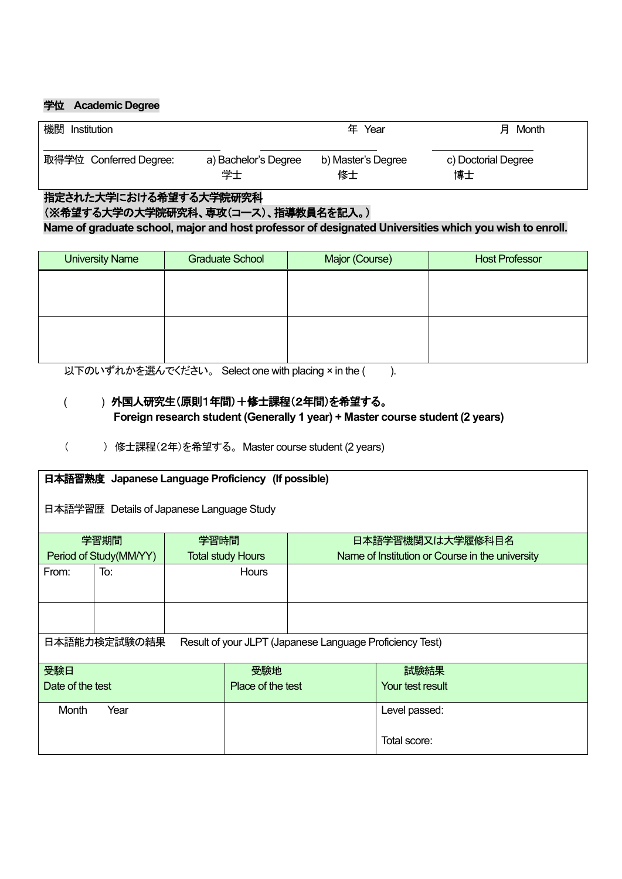### 学位 **[Academic](javascript:goWordLink(%22academic%22)) [Degree](javascript:goWordLink(%22degree%22))**

| 機関                     |                      | Year               | Month               |
|------------------------|----------------------|--------------------|---------------------|
| Institution            |                      | 年                  | 月                   |
| 取得学位 Conferred Degree: | a) Bachelor's Degree | b) Master's Degree | c) Doctorial Degree |
|                        | 学士                   | 修士                 | 博士                  |

#### 指定された大学における希望する大学院研究科

(※希望する大学の大学院研究科、専攻(コース)、指導教員名を記入。)

**Name of graduate school, major and host professor of designated Universities which you wish to enroll.**

| <b>University Name</b> | <b>Graduate School</b> | Major (Course) | <b>Host Professor</b> |
|------------------------|------------------------|----------------|-----------------------|
|                        |                        |                |                       |
|                        |                        |                |                       |
|                        |                        |                |                       |
|                        |                        |                |                       |
|                        |                        |                |                       |

以下のいずれかを選んでください。 Select one with placing × in the ( ).

## ( ) 外国人研究生(原則1年間)+修士課程(2年間)を希望する。 **Foreign research student (Generally 1 year) + Master course student (2 years)**

( ) 修士課程(2年)を希望する。 Master course student (2 years)

| 日本語習熟度 Japanese Language Proficiency (If possible)                       |                        |      |                          |  |                                                 |  |  |
|--------------------------------------------------------------------------|------------------------|------|--------------------------|--|-------------------------------------------------|--|--|
| 日本語学習歴 Details of Japanese Language Study                                |                        |      |                          |  |                                                 |  |  |
|                                                                          | 学習期間                   | 学習時間 |                          |  | 日本語学習機関又は大学履修科目名                                |  |  |
|                                                                          | Period of Study(MM/YY) |      | <b>Total study Hours</b> |  | Name of Institution or Course in the university |  |  |
| From:                                                                    | To:                    |      | Hours                    |  |                                                 |  |  |
|                                                                          |                        |      |                          |  |                                                 |  |  |
| 日本語能力検定試験の結果<br>Result of your JLPT (Japanese Language Proficiency Test) |                        |      |                          |  |                                                 |  |  |
| 受験日                                                                      |                        |      | 受験地                      |  | 試験結果                                            |  |  |
| Date of the test                                                         |                        |      | Place of the test        |  | Your test result                                |  |  |
| Month                                                                    | Year                   |      |                          |  | Level passed:                                   |  |  |
|                                                                          |                        |      |                          |  | Total score:                                    |  |  |